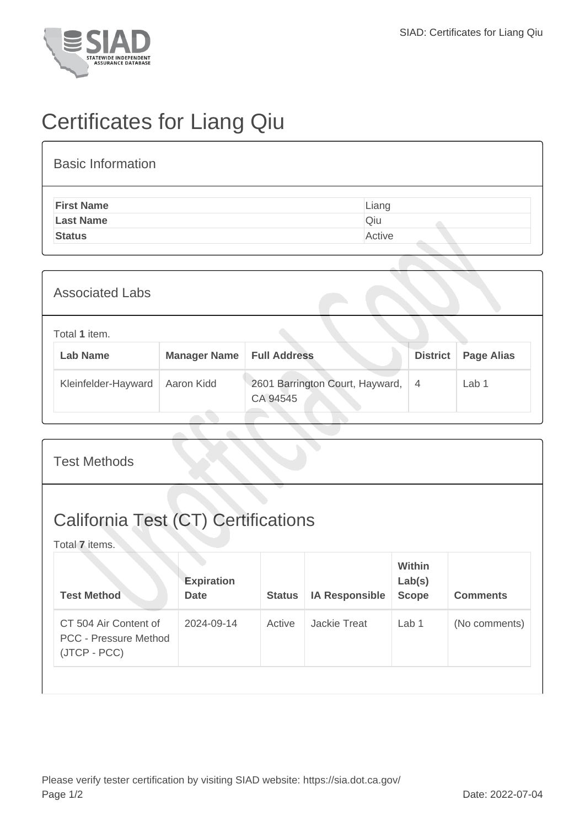

## Certificates for Liang Qiu

## Basic Information

| <b>First Name</b> | Liang  |
|-------------------|--------|
| <b>Last Name</b>  | Qiu    |
| <b>Status</b>     | Active |
|                   |        |

| <b>Associated Labs</b> |                                  |                     |                                             |                 |                   |
|------------------------|----------------------------------|---------------------|---------------------------------------------|-----------------|-------------------|
|                        | Total 1 item.<br><b>Lab Name</b> | <b>Manager Name</b> | <b>Full Address</b>                         | <b>District</b> | <b>Page Alias</b> |
|                        | Kleinfelder-Hayward              | Aaron Kidd          | 2601 Barrington Court, Hayward,<br>CA 94545 | $\overline{4}$  | Lab 1             |

## Test Methods California Test (CT) Certifications Total **7** items. **Test Method Expiration Date Status IA Responsible Within Lab(s) Scope Comments** CT 504 Air Content of PCC - Pressure Method (JTCP - PCC) 2024-09-14 Active Jackie Treat Lab 1 (No comments)